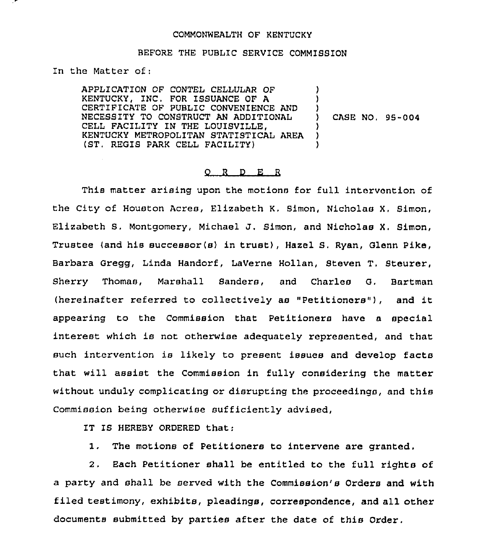## COMMONWEALTH OF KENTUCKY

## BEFORE THE PUBLIC SERVICE COMMISSION

In the Matter of:

APPLICATION OF CONTEL CELLULAR OF KENTUCKY, INC. FOR ISSUANCE OF A CERTIFICATE OF PUBLIC CONVENIENCE AND NECESSITY TO CONSTRUCT AN ADDITIONAL CELL FACILITY IN THE LOUISVILLE, KENTUCKY METROPOLITAN STATISTICAL AREA (ST, REGIS PARK CELL FACILITY) ) ) ) ) ) )

) CASE NO. 95-004

## 0 <sup>R</sup> <sup>D</sup> E <sup>R</sup>

This matter arising upon the motions for full intervention of the City of Houston Acres, Elizabeth K. Simon, Nicholas X, Simon, Elizabeth S. Montgomery, Michael J. Simon, and Nicholas X. Simon, Trustee (and his successor(s) in trust), Hazel S. Ryan, Glenn Pike, Barbara Gregg, Linda Handorf, Laverne Hollan, Steven T. Steurer, Sherry Thomas, Marshall Sanders, and Charles G. Bartman (hereinafter referred to collectively as "Petitioners"), and it appearing to the Commission that Petitioners have a special interest which is not otherwise adequately represented, and that such intervention is likely to present issues and develop facts that will assist the Commission in fully considering the matter without unduly complicating or disrupting the proceedings, and this Commission being otherwise sufficiently advised,

IT IS HEREBY ORDERED that:

I, The motions of Petitioners to intervene are granted,

2. Each Petitioner shall be entitled to the full rights of a party and shall be served with the Commission's Orders and with filed testimony, exhibits, pleadings, correspondence, and all other documents submitted by parties after the date of this Order.